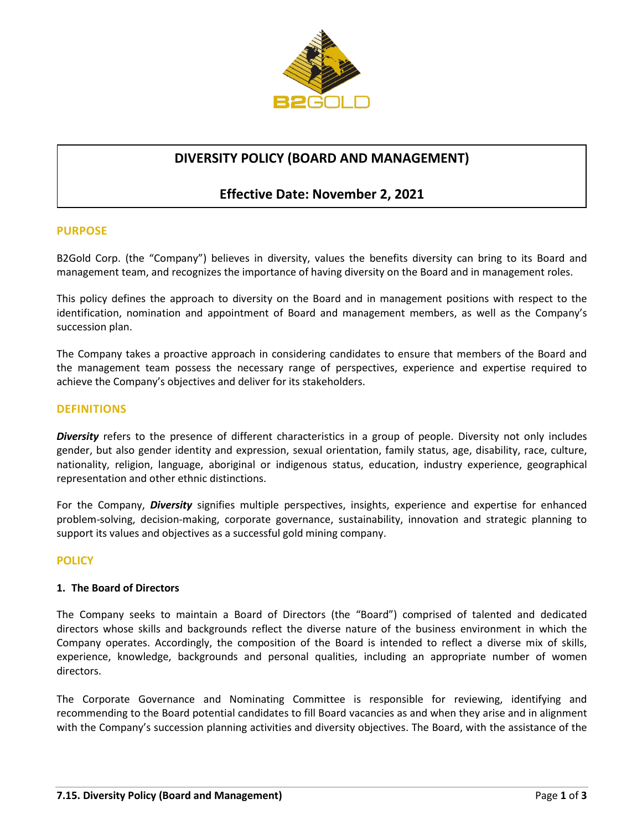

# **DIVERSITY POLICY (BOARD AND MANAGEMENT)**

## **Effective Date: November 2, 2021**

#### **PURPOSE**

B2Gold Corp. (the "Company") believes in diversity, values the benefits diversity can bring to its Board and management team, and recognizes the importance of having diversity on the Board and in management roles.

This policy defines the approach to diversity on the Board and in management positions with respect to the identification, nomination and appointment of Board and management members, as well as the Company's succession plan.

The Company takes a proactive approach in considering candidates to ensure that members of the Board and the management team possess the necessary range of perspectives, experience and expertise required to achieve the Company's objectives and deliver for its stakeholders.

#### **DEFINITIONS**

*Diversity* refers to the presence of different characteristics in a group of people. Diversity not only includes gender, but also gender identity and expression, sexual orientation, family status, age, disability, race, culture, nationality, religion, language, aboriginal or indigenous status, education, industry experience, geographical representation and other ethnic distinctions.

For the Company, *Diversity* signifies multiple perspectives, insights, experience and expertise for enhanced problem-solving, decision-making, corporate governance, sustainability, innovation and strategic planning to support its values and objectives as a successful gold mining company.

#### **POLICY**

#### **1. The Board of Directors**

The Company seeks to maintain a Board of Directors (the "Board") comprised of talented and dedicated directors whose skills and backgrounds reflect the diverse nature of the business environment in which the Company operates. Accordingly, the composition of the Board is intended to reflect a diverse mix of skills, experience, knowledge, backgrounds and personal qualities, including an appropriate number of women directors.

The Corporate Governance and Nominating Committee is responsible for reviewing, identifying and recommending to the Board potential candidates to fill Board vacancies as and when they arise and in alignment with the Company's succession planning activities and diversity objectives. The Board, with the assistance of the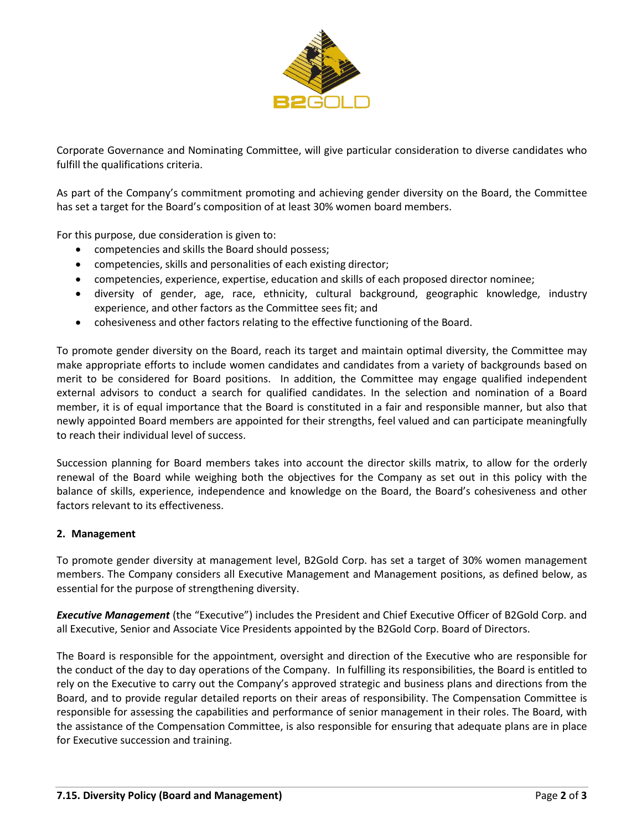

Corporate Governance and Nominating Committee, will give particular consideration to diverse candidates who fulfill the qualifications criteria.

As part of the Company's commitment promoting and achieving gender diversity on the Board, the Committee has set a target for the Board's composition of at least 30% women board members.

For this purpose, due consideration is given to:

- competencies and skills the Board should possess;
- competencies, skills and personalities of each existing director;
- competencies, experience, expertise, education and skills of each proposed director nominee;
- diversity of gender, age, race, ethnicity, cultural background, geographic knowledge, industry experience, and other factors as the Committee sees fit; and
- cohesiveness and other factors relating to the effective functioning of the Board.

To promote gender diversity on the Board, reach its target and maintain optimal diversity, the Committee may make appropriate efforts to include women candidates and candidates from a variety of backgrounds based on merit to be considered for Board positions. In addition, the Committee may engage qualified independent external advisors to conduct a search for qualified candidates. In the selection and nomination of a Board member, it is of equal importance that the Board is constituted in a fair and responsible manner, but also that newly appointed Board members are appointed for their strengths, feel valued and can participate meaningfully to reach their individual level of success.

Succession planning for Board members takes into account the director skills matrix, to allow for the orderly renewal of the Board while weighing both the objectives for the Company as set out in this policy with the balance of skills, experience, independence and knowledge on the Board, the Board's cohesiveness and other factors relevant to its effectiveness.

#### **2. Management**

To promote gender diversity at management level, B2Gold Corp. has set a target of 30% women management members. The Company considers all Executive Management and Management positions, as defined below, as essential for the purpose of strengthening diversity.

*Executive Management* (the "Executive") includes the President and Chief Executive Officer of B2Gold Corp. and all Executive, Senior and Associate Vice Presidents appointed by the B2Gold Corp. Board of Directors.

The Board is responsible for the appointment, oversight and direction of the Executive who are responsible for the conduct of the day to day operations of the Company. In fulfilling its responsibilities, the Board is entitled to rely on the Executive to carry out the Company's approved strategic and business plans and directions from the Board, and to provide regular detailed reports on their areas of responsibility. The Compensation Committee is responsible for assessing the capabilities and performance of senior management in their roles. The Board, with the assistance of the Compensation Committee, is also responsible for ensuring that adequate plans are in place for Executive succession and training.